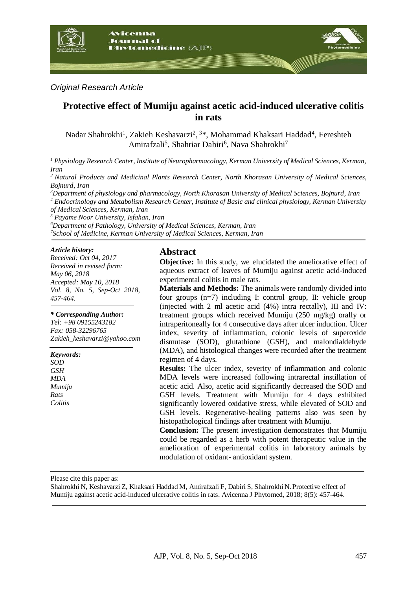

### *Original Research Article*

# **Protective effect of Mumiju against acetic acid-induced ulcerative colitis in rats**

Nadar Shahrokhi<sup>1</sup>, Zakieh Keshavarzi<sup>2</sup>, <sup>3\*</sup>, Mohammad Khaksari Haddad<sup>4</sup>, Fereshteh Amirafzali<sup>5</sup>, Shahriar Dabiri<sup>6</sup>, Nava Shahrokhi<sup>7</sup>

*<sup>1</sup> Physiology Research Center, Institute of Neuropharmacology, Kerman University of Medical Sciences, Kerman, Iran*

*<sup>2</sup>Natural Products and Medicinal Plants Research Center, North Khorasan University of Medical Sciences, Bojnurd, Iran*

*<sup>3</sup>Department of physiology and pharmacology, North Khorasan University of Medical Sciences, Bojnurd, Iran <sup>4</sup> Endocrinology and Metabolism Research Center, Institute of Basic and clinical physiology, Kerman University of Medical Sciences, Kerman, Iran*

*<sup>5</sup> Payame Noor University, Isfahan, Iran*

*<sup>6</sup>Department of Pathology, University of Medical Sciences, Kerman, Iran <sup>7</sup>School of Medicine, Kerman University of Medical Sciences, Kerman, Iran*

#### *Article history:*

*Received: Oct 04, 2017 Received in revised form: May 06, 2018 Accepted: May 10, 2018 Vol. 8, No. 5, Sep-Oct 2018, 457-464.*

#### *\* Corresponding Author:*

*Tel: +98 09155243182 Fax: 058-32296765 Zakieh\_keshavarzi@yahoo.com* 

*Keywords: SOD GSH MDA Mumiju Rats Colitis*

### **Abstract**

**Objective:** In this study, we elucidated the ameliorative effect of aqueous extract of leaves of Mumiju against acetic acid-induced experimental colitis in male rats.

**Materials and Methods:** The animals were randomly divided into four groups (n=7) including I: control group, II: vehicle group (injected with 2 ml acetic acid (4%) intra rectally), III and IV: treatment groups which received Mumiju (250 mg/kg) orally or intraperitoneally for 4 consecutive days after ulcer induction. Ulcer index, severity of inflammation, colonic levels of superoxide dismutase (SOD), glutathione (GSH), and malondialdehyde (MDA), and histological changes were recorded after the treatment regimen of 4 days.

**Results:** The ulcer index, severity of inflammation and colonic MDA levels were increased following intrarectal instillation of acetic acid. Also, acetic acid significantly decreased the SOD and GSH levels. Treatment with Mumiju for 4 days exhibited significantly lowered oxidative stress, while elevated of SOD and GSH levels. Regenerative-healing patterns also was seen by histopathological findings after treatment with Mumiju.

**Conclusion:** The present investigation demonstrates that Mumiju could be regarded as a herb with potent therapeutic value in the amelioration of experimental colitis in laboratory animals by modulation of oxidant- antioxidant system.

Please cite this paper as:

Shahrokhi N, Keshavarzi Z, Khaksari Haddad M, Amirafzali F, Dabiri S, Shahrokhi N. Protective effect of Mumiju against acetic acid-induced ulcerative colitis in rats. Avicenna J Phytomed, 2018; 8(5): 457-464.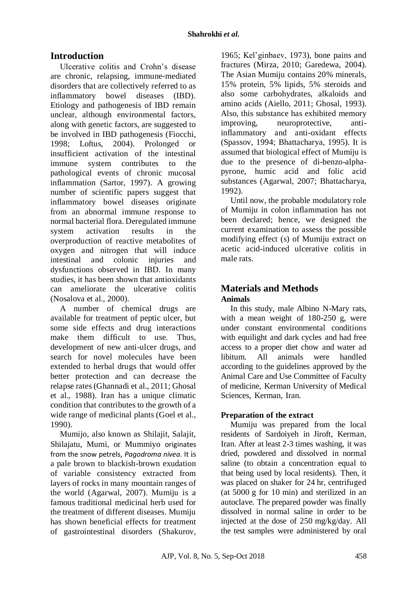# **Introduction**

Ulcerative colitis and Crohn's disease are chronic, relapsing, immune-mediated disorders that are collectively referred to as inflammatory bowel diseases (IBD). Etiology and pathogenesis of IBD remain unclear, although environmental factors, along with genetic factors, are suggested to be involved in IBD pathogenesis (Fiocchi, 1998; Loftus, 2004). Prolonged or insufficient activation of the intestinal immune system contributes to the pathological events of chronic mucosal inflammation (Sartor, 1997). A growing number of scientific papers suggest that inflammatory bowel diseases originate from an abnormal immune response to normal bacterial flora. Deregulated immune system activation results in the overproduction of reactive metabolites of oxygen and nitrogen that will induce intestinal and colonic injuries and dysfunctions observed in IBD. In many studies, it has been shown that antioxidants can ameliorate the ulcerative colitis (Nosalova et al., 2000).

A number of chemical drugs are available for treatment of peptic ulcer, but some side effects and drug interactions make them difficult to use. Thus, development of new anti-ulcer drugs, and search for novel molecules have been extended to herbal drugs that would offer better protection and can decrease the relapse rates(Ghannadi et al., 2011; Ghosal et al., 1988). Iran has a unique climatic condition that contributes to the growth of a wide range of medicinal plants (Goel et al., 1990).

Mumijo, also known as Shilajit, Salajit, Shilajatu, Mumi, or Mummiyo originates from the snow petrels, *Pagodroma nivea*. It is a pale brown to blackish-brown exudation of variable consistency extracted from layers of rocks in many mountain ranges of the world (Agarwal, 2007). Mumiju is a famous traditional medicinal herb used for the treatment of different diseases. Mumiju has shown beneficial effects for treatment of gastrointestinal disorders (Shakurov, 1965; Kel'ginbaev, 1973), bone pains and fractures (Mirza, 2010; Garedewa, 2004). The Asian Mumiju contains 20% minerals, 15% protein, 5% lipids, 5% steroids and also some carbohydrates, alkaloids and amino acids (Aiello, 2011; Ghosal, 1993). Also, this substance has exhibited memory improving, neuroprotective, antiinflammatory and anti-oxidant effects (Spassov, 1994; Bhattacharya, 1995). It is assumed that biological effect of Mumiju is due to the presence of di-benzo-alphapyrone, humic acid and folic acid substances (Agarwal, 2007; Bhattacharya, 1992).

Until now, the probable modulatory role of Mumiju in colon inflammation has not been declared; hence, we designed the current examination to assess the possible modifying effect (s) of Mumiju extract on acetic acid-induced ulcerative colitis in male rats.

## **Materials and Methods Animals**

In this study, male Albino N-Mary rats, with a mean weight of 180-250 g, were under constant environmental conditions with equilight and dark cycles and had free access to a proper diet chow and water ad libitum. All animals were handled according to the guidelines approved by the Animal Care and Use Committee of Faculty of medicine, Kerman University of Medical Sciences, Kerman, Iran.

## **Preparation of the extract**

Mumiju was prepared from the local residents of Sardoiyeh in Jiroft, Kerman, Iran. After at least 2-3 times washing, it was dried, powdered and dissolved in normal saline (to obtain a concentration equal to that being used by local residents). Then, it was placed on shaker for 24 hr, centrifuged (at 5000 g for 10 min) and sterilized in an autoclave. The prepared powder was finally dissolved in normal saline in order to be injected at the dose of 250 mg/kg/day. All the test samples were administered by oral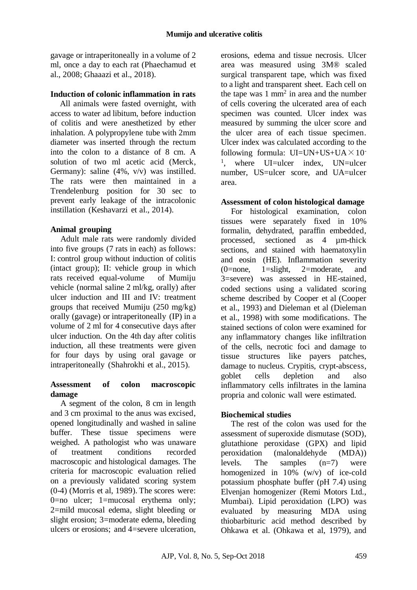gavage or intraperitoneally in a volume of 2 ml, once a day to each rat (Phaechamud et al., 2008; Ghaaazi et al., 2018).

### **Induction of colonic inflammation in rats**

All animals were fasted overnight, with access to water ad libitum, before induction of colitis and were anesthetized by ether inhalation. A polypropylene tube with 2mm diameter was inserted through the rectum into the colon to a distance of 8 cm. A solution of two ml acetic acid (Merck, Germany): saline (4%, v/v) was instilled. The rats were then maintained in a Trendelenburg position for 30 sec to prevent early leakage of the intracolonic instillation (Keshavarzi et al., 2014).

### **Animal grouping**

Adult male rats were randomly divided into five groups (7 rats in each) as follows: I: control group without induction of colitis (intact group); II: vehicle group in which rats received equal-volume of Mumiju vehicle (normal saline 2 ml/kg, orally) after ulcer induction and III and IV: treatment groups that received Mumiju (250 mg/kg) orally (gavage) or intraperitoneally (IP) in a volume of 2 ml for 4 consecutive days after ulcer induction. On the 4th day after colitis induction, all these treatments were given for four days by using oral gavage or intraperitoneally (Shahrokhi et al., 2015).

### **Assessment of colon macroscopic damage**

A segment of the colon, 8 cm in length and 3 cm proximal to the anus was excised, opened longitudinally and washed in saline buffer. These tissue specimens were weighed. A pathologist who was unaware of treatment conditions recorded macroscopic and histological damages. The criteria for macroscopic evaluation relied on a previously validated scoring system (0-4) (Morris et al, 1989). The scores were: 0=no ulcer; 1=mucosal erythema only; 2=mild mucosal edema, slight bleeding or slight erosion; 3=moderate edema, bleeding ulcers or erosions; and 4=severe ulceration,

erosions, edema and tissue necrosis. Ulcer area was measured using 3M® scaled surgical transparent tape, which was fixed to a light and transparent sheet. Each cell on the tape was  $1 \text{ mm}^2$  in area and the number of cells covering the ulcerated area of each specimen was counted. Ulcer index was measured by summing the ulcer score and the ulcer area of each tissue specimen. Ulcer index was calculated according to the following formula:  $UI=UN+US+UA \times 10^{-7}$ <sup>1</sup>, where UI=ulcer index, UN=ulcer number, US=ulcer score, and UA=ulcer area.

### **Assessment of colon histological damage**

For histological examination, colon tissues were separately fixed in 10% formalin, dehydrated, paraffin embedded, processed, sectioned as 4 um-thick sections, and stained with haematoxylin and eosin (HE). Inflammation severity (0=none, 1=slight, 2=moderate, and 3=severe) was assessed in HE-stained, coded sections using a validated scoring scheme described by Cooper et al (Cooper et al., 1993) and Dieleman et al (Dieleman et al., 1998) with some modifications. The stained sections of colon were examined for any inflammatory changes like infiltration of the cells, necrotic foci and damage to tissue structures like payers patches, damage to nucleus. Crypitis, crypt-abscess, goblet cells depletion and also inflammatory cells infiltrates in the lamina propria and colonic wall were estimated.

### **Biochemical studies**

The rest of the colon was used for the assessment of superoxide dismutase (SOD), glutathione peroxidase (GPX) and lipid peroxidation (malonaldehyde (MDA)) levels. The samples (n=7) were homogenized in  $10\%$  (w/v) of ice-cold potassium phosphate buffer (pH 7.4) using Elvenjan homogenizer (Remi Motors Ltd., Mumbai). Lipid peroxidation (LPO) was evaluated by measuring MDA using thiobarbituric acid method described by Ohkawa et al. (Ohkawa et al, 1979), and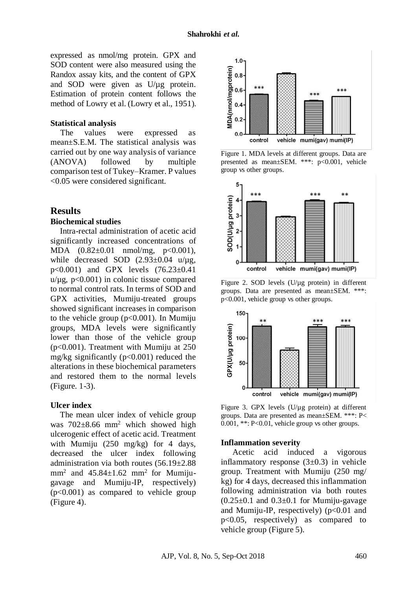expressed as nmol/mg protein. GPX and SOD content were also measured using the Randox assay kits, and the content of GPX and SOD were given as  $U/\mu$ g protein. Estimation of protein content follows the method of Lowry et al. (Lowry et al., 1951).

#### **Statistical analysis**

The values were expressed as mean±S.E.M. The statistical analysis was carried out by one way analysis of variance (ANOVA) followed by multiple comparison test of Tukey–Kramer. P values <0.05 were considered significant.

### **Results**

#### **Biochemical studies**

Intra-rectal administration of acetic acid significantly increased concentrations of MDA  $(0.82 \pm 0.01 \text{ mmol/mg}, p < 0.001)$ , while decreased SOD  $(2.93\pm0.04 \text{ u}/\mu g)$ , p<0.001) and GPX levels (76.23±0.41  $u/\mu$ g, p<0.001) in colonic tissue compared to normal control rats. In terms of SOD and GPX activities, Mumiju-treated groups showed significant increases in comparison to the vehicle group  $(p<0.001)$ . In Mumiju groups, MDA levels were significantly lower than those of the vehicle group (p<0.001). Treatment with Mumiju at 250 mg/kg significantly ( $p<0.001$ ) reduced the alterations in these biochemical parameters and restored them to the normal levels (Figure. 1-3).

#### **Ulcer index**

The mean ulcer index of vehicle group was 702±8.66 mm<sup>2</sup> which showed high ulcerogenic effect of acetic acid. Treatment with Mumiju (250 mg/kg) for 4 days, decreased the ulcer index following administration via both routes  $(56.19 \pm 2.88)$  $mm<sup>2</sup>$  and  $45.84 \pm 1.62$  mm<sup>2</sup> for Mumijugavage and Mumiju-IP, respectively)  $(p<0.001)$  as compared to vehicle group (Figure 4).



Figure 1. MDA levels at different groups. Data are presented as mean±SEM. \*\*\*: p<0.001, vehicle group vs other groups.



Figure 2. SOD levels (U/µg protein) in different groups. Data are presented as mean±SEM. \*\*\*: p<0.001, vehicle group vs other groups.





#### **Inflammation severity**

Acetic acid induced a vigorous inflammatory response  $(3\pm 0.3)$  in vehicle group. Treatment with Mumiju (250 mg/ kg) for 4 days, decreased this inflammation following administration via both routes  $(0.25\pm0.1$  and  $0.3\pm0.1$  for Mumiju-gavage and Mumiju-IP, respectively)  $(p<0.01$  and p<0.05, respectively) as compared to vehicle group (Figure 5).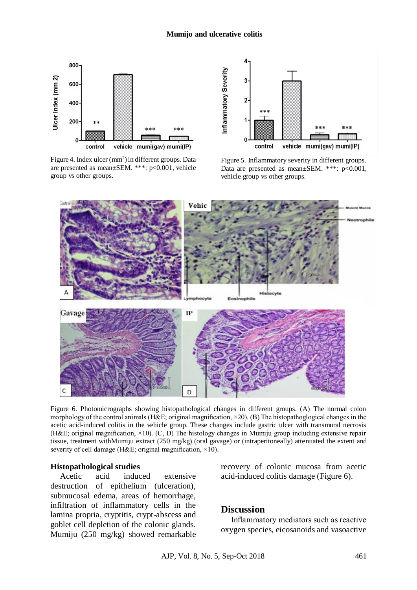#### **Mumijo and ulcerative colitis**



Figure 4. Index ulcer  $(mm<sup>2</sup>)$  in different groups. Data are presented as mean±SEM. \*\*\*: p<0.001, vehicle group vs other groups.



Figure 5. Inflammatory severity in different groups. Data are presented as mean±SEM. \*\*\*: p<0.001, vehicle group vs other groups.



Figure 6. Photomicrographs showing histopathological changes in different groups. (A) The normal colon morphology of the control animals (H&E; original magnification, ×20). (B) The histopathoglogical changes in the acetic acid-induced colitis in the vehicle group. These changes include gastric ulcer with transmural necrosis (H&E; original magnification,  $\times$ 10). (C, D) The histology changes in Mumiju group including extensive repair tissue, treatment withMumiju extract (250 mg/kg) (oral gavage) or (intraperitoneally) attenuated the extent and severity of cell damage (H&E; original magnification,  $\times$ 10).

#### **Histopathological studies**

Acetic acid induced extensive destruction of epithelium (ulceration), submucosal edema, areas of hemorrhage, infiltration of inflammatory cells in the lamina propria, cryptitis, crypt-abscess and goblet cell depletion of the colonic glands. Mumiju (250 mg/kg) showed remarkable

recovery of colonic mucosa from acetic acid-induced colitis damage (Figure 6).

### **Discussion**

Inflammatory mediators such as reactive oxygen species, eicosanoids and vasoactive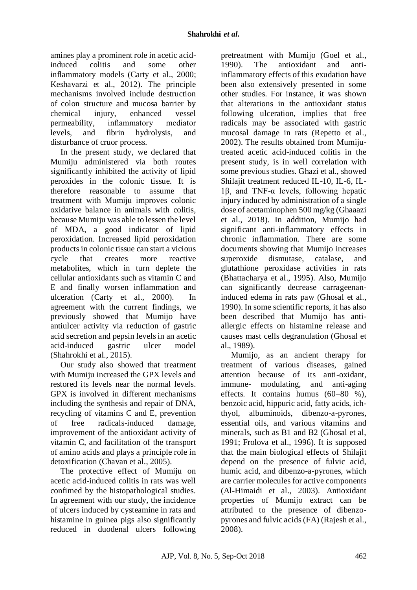amines play a prominent role in acetic acidinduced colitis and some other inflammatory models (Carty et al., 2000; Keshavarzi et al., 2012). The principle mechanisms involved include destruction of colon structure and mucosa barrier by chemical injury, enhanced vessel permeability, inflammatory mediator levels, and fibrin hydrolysis, and disturbance of cruor process.

In the present study, we declared that Mumiju administered via both routes significantly inhibited the activity of lipid peroxides in the colonic tissue. It is therefore reasonable to assume that treatment with Mumiju improves colonic oxidative balance in animals with colitis, because Mumiju was able to lessen the level of MDA, a good indicator of lipid peroxidation. Increased lipid peroxidation products in colonic tissue can start a vicious cycle that creates more reactive metabolites, which in turn deplete the cellular antioxidants such as vitamin C and E and finally worsen inflammation and ulceration (Carty et al., 2000). In agreement with the current findings, we previously showed that Mumijo have antiulcer activity via reduction of gastric acid secretion and pepsin levels in an acetic acid-induced gastric ulcer model [\(Shahrokhi e](https://www.ncbi.nlm.nih.gov/pubmed/?term=Shahrokhi%20N%5BAuthor%5D&cauthor=true&cauthor_uid=25709338)t al., 2015).

Our study also showed that treatment with Mumiju increased the GPX levels and restored its levels near the normal levels. GPX is involved in different mechanisms including the synthesis and repair of DNA, recycling of vitamins C and E, prevention of free radicals-induced damage, improvement of the antioxidant activity of vitamin C, and facilitation of the transport of amino acids and plays a principle role in detoxification (Chavan et al., 2005).

The protective effect of Mumiju on acetic acid-induced colitis in rats was well confimed by the histopathological studies. In agreement with our study, the incidence of ulcers induced by cysteamine in rats and histamine in guinea pigs also significantly reduced in duodenal ulcers following

pretreatment with Mumijo (Goel et al., 1990). The antioxidant and antiinflammatory effects of this exudation have been also extensively presented in some other studies. For instance, it was shown that alterations in the antioxidant status following ulceration, implies that free radicals may be associated with gastric mucosal damage in rats (Repetto et al., 2002). The results obtained from Mumijutreated acetic acid-induced colitis in the present study, is in well correlation with some previous studies. Ghazi et al., showed Shilajit treatment reduced IL-10, IL-6, IL-1β, and TNF-α levels, following hepatic injury induced by administration of a single dose of acetaminophen 500 mg/kg (Ghaaazi et al., 2018). In addition, Mumijo had significant anti-inflammatory effects in chronic inflammation. There are some documents showing that Mumijo increases superoxide dismutase, catalase, and glutathione peroxidase activities in rats (Bhattacharya et al., 1995). Also, Mumijo can significantly decrease carrageenaninduced edema in rats paw (Ghosal et al., 1990). In some scientific reports, it has also been described that Mumijo has antiallergic effects on histamine release and causes mast cells degranulation (Ghosal et al., 1989).

Mumijo, as an ancient therapy for treatment of various diseases, gained attention because of its anti-oxidant, immune- modulating, and anti-aging effects. It contains humus (60–80 %), benzoic acid, hippuric acid, fatty acids, ichthyol, albuminoids, dibenzo-a-pyrones, essential oils, and various vitamins and minerals, such as B1 and B2 (Ghosal et al, 1991; Frolova et al., 1996). It is supposed that the main biological effects of Shilajit depend on the presence of fulvic acid, humic acid, and dibenzo-a-pyrones, which are carrier molecules for active components (Al-Himaidi et al., 2003). Antioxidant properties of Mumijo extract can be attributed to the presence of dibenzopyrones and fulvic acids (FA) (Rajesh et al., 2008).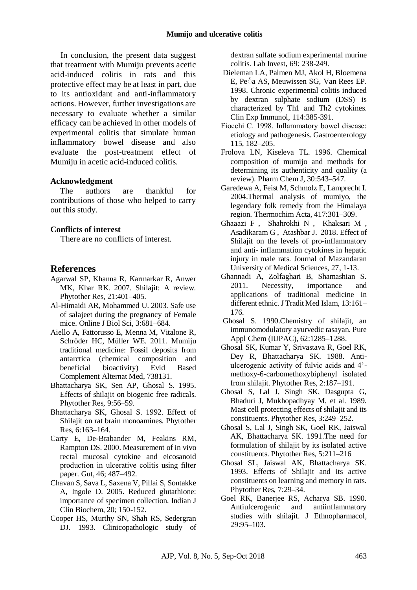In conclusion, the present data suggest that treatment with Mumiju prevents acetic acid-induced colitis in rats and this protective effect may be at least in part, due to its antioxidant and anti-inflammatory actions. However, further investigations are necessary to evaluate whether a similar efficacy can be achieved in other models of experimental colitis that simulate human inflammatory bowel disease and also evaluate the post-treatment effect of Mumiju in acetic acid-induced colitis.

### **Acknowledgment**

The authors are thankful for contributions of those who helped to carry out this study.

### **Conflicts of interest**

There are no conflicts of interest.

### **References**

- Agarwal SP, Khanna R, Karmarkar R, Anwer MK, Khar RK. 2007. Shilajit: A review. Phytother Res, 21:401–405.
- Al-Himaidi AR, Mohammed U. 2003. Safe use of salajeet during the pregnancy of Female mice. Online J Biol Sci, 3:681–684.
- Aiello A, Fattorusso E, Menna M, Vitalone R, Schröder HC, Müller WE. 2011. Mumiju traditional medicine: Fossil deposits from antarctica (chemical composition and beneficial bioactivity) Evid Based Complement Alternat Med, 738131.
- Bhattacharya SK, Sen AP, Ghosal S. 1995. Effects of shilajit on biogenic free radicals. Phytother Res, 9:56–59.
- Bhattacharya SK, Ghosal S. 1992. Effect of Shilajit on rat brain monoamines. Phytother Res, 6:163–164.
- Carty E, De-Brabander M, Feakins RM, Rampton DS. 2000. Measurement of in vivo rectal mucosal cytokine and eicosanoid production in ulcerative colitis using filter paper. Gut, 46; 487–492.
- Chavan S, Sava L, Saxena V, Pillai S, Sontakke A, Ingole D. 2005. Reduced glutathione: importance of specimen collection. Indian J Clin Biochem, 20; 150-152.
- Cooper HS, Murthy SN, Shah RS, Sedergran DJ. 1993. Clinicopathologic study of

dextran sulfate sodium experimental murine colitis. Lab Invest, 69: 238-249.

- Dieleman LA, Palmen MJ, Akol H, Bloemena E, Pe<sup> $\circ$ </sup>a AS, Meuwissen SG, Van Rees EP. 1998. Chronic experimental colitis induced by dextran sulphate sodium (DSS) is characterized by Th1 and Th2 cytokines. Clin Exp Immunol, 114:385-391.
- Fiocchi C. 1998. Inflammatory bowel disease: etiology and pathogenesis. Gastroenterology 115, 182–205.
- Frolova LN, Kiseleva TL. 1996. Chemical composition of mumijo and methods for determining its authenticity and quality (a review). Pharm Chem J, 30:543–547.
- Garedewa A, Feist M, Schmolz E, Lamprecht I. 2004.Thermal analysis of mumiyo, the legendary folk remedy from the Himalaya region. Thermochim Acta, 417:301–309.
- Ghaaazi [F ,](https://jmums.mazums.ac.ir/search.php?sid=1&slc_lang=en&auth=Ghaaazi+Firozsalari) [Shahrokhi N ,](https://jmums.mazums.ac.ir/search.php?sid=1&slc_lang=en&auth=Shahrokhi) [Khaksari M ,](https://jmums.mazums.ac.ir/search.php?sid=1&slc_lang=en&auth=Khaksari+Hadad) Asadikaram G, [Atashbar J.](https://jmums.mazums.ac.ir/search.php?sid=1&slc_lang=en&auth=Atashbar) 2018. Effect of Shilajit on the levels of pro-inflammatory and anti- inflammation cytokines in hepatic injury in male rats. Journal of Mazandaran University of Medical Sciences, 27, 1-13.
- Ghannadi A, Zolfaghari B, Shamashian S. 2011. Necessity, importance and applications of traditional medicine in different ethnic. J Tradit Med Islam, 13:161– 176.
- Ghosal S. 1990.Chemistry of shilajit, an immunomodulatory ayurvedic rasayan. Pure Appl Chem (IUPAC), 62:1285–1288.
- Ghosal SK, Kumar Y, Srivastava R, Goel RK, Dey R, Bhattacharya SK. 1988. Antiulcerogenic activity of fulvic acids and 4' methoxy-6-carbomethoxybiphenyl isolated from shilajit. Phytother Res, 2:187–191.
- Ghosal S, Lal J, Singh SK, Dasgupta G, Bhaduri J, Mukhopadhyay M, et al. 1989. Mast cell protecting effects of shilajit and its constituents. Phytother Res, 3:249–252.
- Ghosal S, Lal J, Singh SK, Goel RK, Jaiswal AK, Bhattacharya SK. 1991.The need for formulation of shilajit by its isolated active constituents. Phytother Res, 5:211–216
- Ghosal SL, Jaiswal AK, Bhattacharya SK. 1993. Effects of Shilajit and its active constituents on learning and memory in rats. Phytother Res, 7:29–34.
- Goel RK, Banerjee RS, Acharya SB. 1990. Antiulcerogenic and antiinflammatory studies with shilajit. J Ethnopharmacol, 29:95–103.